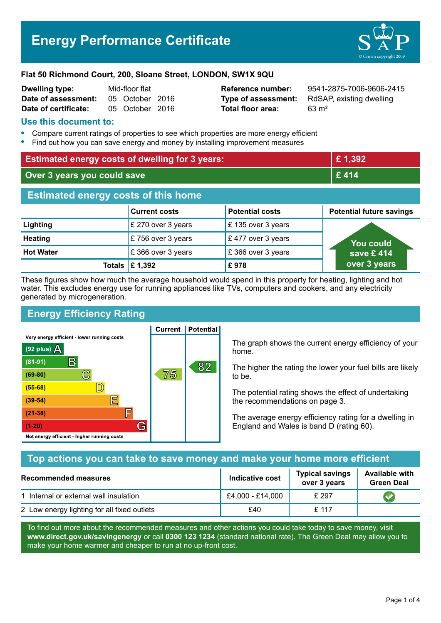# **Energy Performance Certificate**



#### **Flat 50 Richmond Court, 200, Sloane Street, LONDON, SW1X 9QU**

| <b>Dwelling type:</b> | Mid-floor flat |                 |  |
|-----------------------|----------------|-----------------|--|
| Date of assessment:   |                | 05 October 2016 |  |
| Date of certificate:  |                | 05 October 2016 |  |

**Total floor area:** 63 m<sup>2</sup>

**Reference number:** 9541-2875-7006-9606-2415 **Type of assessment:** RdSAP, existing dwelling

### **Use this document to:**

- **•** Compare current ratings of properties to see which properties are more energy efficient
- **•** Find out how you can save energy and money by installing improvement measures

| <b>Estimated energy costs of dwelling for 3 years:</b> |                                 |                        | £1,392                          |  |
|--------------------------------------------------------|---------------------------------|------------------------|---------------------------------|--|
| Over 3 years you could save                            |                                 |                        | £414                            |  |
| <b>Estimated energy costs of this home</b>             |                                 |                        |                                 |  |
|                                                        | <b>Current costs</b>            | <b>Potential costs</b> | <b>Potential future savings</b> |  |
| Lighting                                               | £ 270 over 3 years              | £ 135 over 3 years     |                                 |  |
| <b>Heating</b>                                         | £756 over 3 years               | £477 over 3 years      | <b>You could</b>                |  |
| <b>Hot Water</b>                                       | £366 over 3 years               | £366 over 3 years      | save $£$ 414 $\overline{ }$     |  |
|                                                        | Totals $\mathbf \epsilon$ 1,392 | £978                   | over 3 years                    |  |

These figures show how much the average household would spend in this property for heating, lighting and hot water. This excludes energy use for running appliances like TVs, computers and cookers, and any electricity generated by microgeneration.

**Current | Potential** 

# **Energy Efficiency Rating**

Very energy efficient - lower running costs



The graph shows the current energy efficiency of your home.

The higher the rating the lower your fuel bills are likely to be.

The potential rating shows the effect of undertaking the recommendations on page 3.

The average energy efficiency rating for a dwelling in England and Wales is band D (rating 60).

# **Top actions you can take to save money and make your home more efficient**

| <b>Recommended measures</b>                 | Indicative cost  | <b>Typical savings</b><br>over 3 years | <b>Available with</b><br><b>Green Deal</b> |
|---------------------------------------------|------------------|----------------------------------------|--------------------------------------------|
| 1 Internal or external wall insulation      | £4,000 - £14,000 | £297                                   |                                            |
| 2 Low energy lighting for all fixed outlets | £40              | £ 117                                  |                                            |

To find out more about the recommended measures and other actions you could take today to save money, visit **www.direct.gov.uk/savingenergy** or call **0300 123 1234** (standard national rate). The Green Deal may allow you to make your home warmer and cheaper to run at no up-front cost.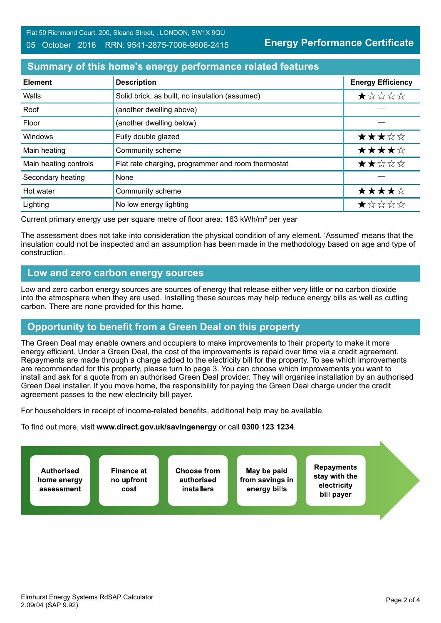#### 05 October 2016 RRN: 9541-2875-7006-9606-2415

**Energy Performance Certificate**

# **Summary of this home's energy performance related features**

| <b>Element</b>        | <b>Description</b>                                 | <b>Energy Efficiency</b> |
|-----------------------|----------------------------------------------------|--------------------------|
| Walls                 | Solid brick, as built, no insulation (assumed)     | $\star$ * * * *          |
| Roof                  | (another dwelling above)                           |                          |
| Floor                 | (another dwelling below)                           |                          |
| Windows               | Fully double glazed                                | ★★★☆☆                    |
| Main heating          | Community scheme                                   | ★★★★☆                    |
| Main heating controls | Flat rate charging, programmer and room thermostat | ★★☆☆☆                    |
| Secondary heating     | None                                               |                          |
| Hot water             | Community scheme                                   | ★★★★☆                    |
| Lighting              | No low energy lighting                             | ★☆☆☆☆                    |

Current primary energy use per square metre of floor area: 163 kWh/m² per year

The assessment does not take into consideration the physical condition of any element. 'Assumed' means that the insulation could not be inspected and an assumption has been made in the methodology based on age and type of construction.

### **Low and zero carbon energy sources**

Low and zero carbon energy sources are sources of energy that release either very little or no carbon dioxide into the atmosphere when they are used. Installing these sources may help reduce energy bills as well as cutting carbon. There are none provided for this home.

# **Opportunity to benefit from a Green Deal on this property**

The Green Deal may enable owners and occupiers to make improvements to their property to make it more energy efficient. Under a Green Deal, the cost of the improvements is repaid over time via a credit agreement. Repayments are made through a charge added to the electricity bill for the property. To see which improvements are recommended for this property, please turn to page 3. You can choose which improvements you want to install and ask for a quote from an authorised Green Deal provider. They will organise installation by an authorised Green Deal installer. If you move home, the responsibility for paying the Green Deal charge under the credit agreement passes to the new electricity bill payer.

For householders in receipt of income-related benefits, additional help may be available.

To find out more, visit **www.direct.gov.uk/savingenergy** or call **0300 123 1234**.

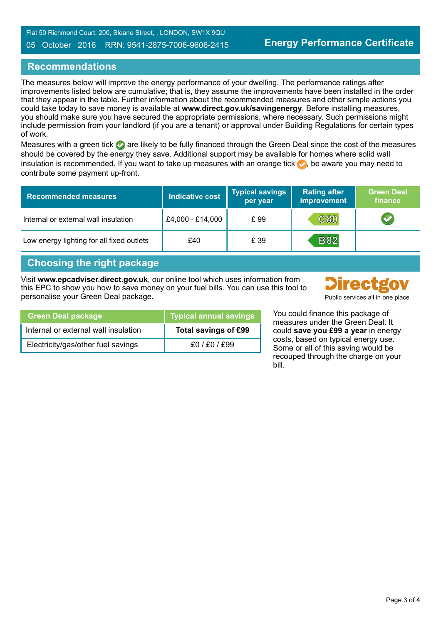#### 05 October 2016 RRN: 9541-2875-7006-9606-2415

# **Recommendations**

The measures below will improve the energy performance of your dwelling. The performance ratings after improvements listed below are cumulative; that is, they assume the improvements have been installed in the order that they appear in the table. Further information about the recommended measures and other simple actions you could take today to save money is available at **www.direct.gov.uk/savingenergy**. Before installing measures, you should make sure you have secured the appropriate permissions, where necessary. Such permissions might include permission from your landlord (if you are a tenant) or approval under Building Regulations for certain types of work.

Measures with a green tick are likely to be fully financed through the Green Deal since the cost of the measures should be covered by the energy they save. Additional support may be available for homes where solid wall insulation is recommended. If you want to take up measures with an orange tick  $\bullet$ , be aware you may need to contribute some payment up-front.

| <b>Recommended measures</b>               | <b>Indicative cost</b> | <b>Typical savings</b><br>per year | <b>Rating after</b><br>improvement | <b>Green Deal</b><br>finance |
|-------------------------------------------|------------------------|------------------------------------|------------------------------------|------------------------------|
| Internal or external wall insulation      | £4,000 - £14,000       | £99                                | <b>C80</b>                         |                              |
| Low energy lighting for all fixed outlets | £40                    | £ 39                               | <b>B82</b>                         |                              |

# **Choosing the right package**

Visit **www.epcadviser.direct.gov.uk**, our online tool which uses information from this EPC to show you how to save money on your fuel bills. You can use this tool to personalise your Green Deal package. Public services all in one place



| Green Deal package                   | Typical annual savings |
|--------------------------------------|------------------------|
| Internal or external wall insulation | Total savings of £99   |
| Electricity/gas/other fuel savings   | £0/£0/£99              |

You could finance this package of measures under the Green Deal. It could **save you £99 a year** in energy costs, based on typical energy use. Some or all of this saving would be recouped through the charge on your bill.